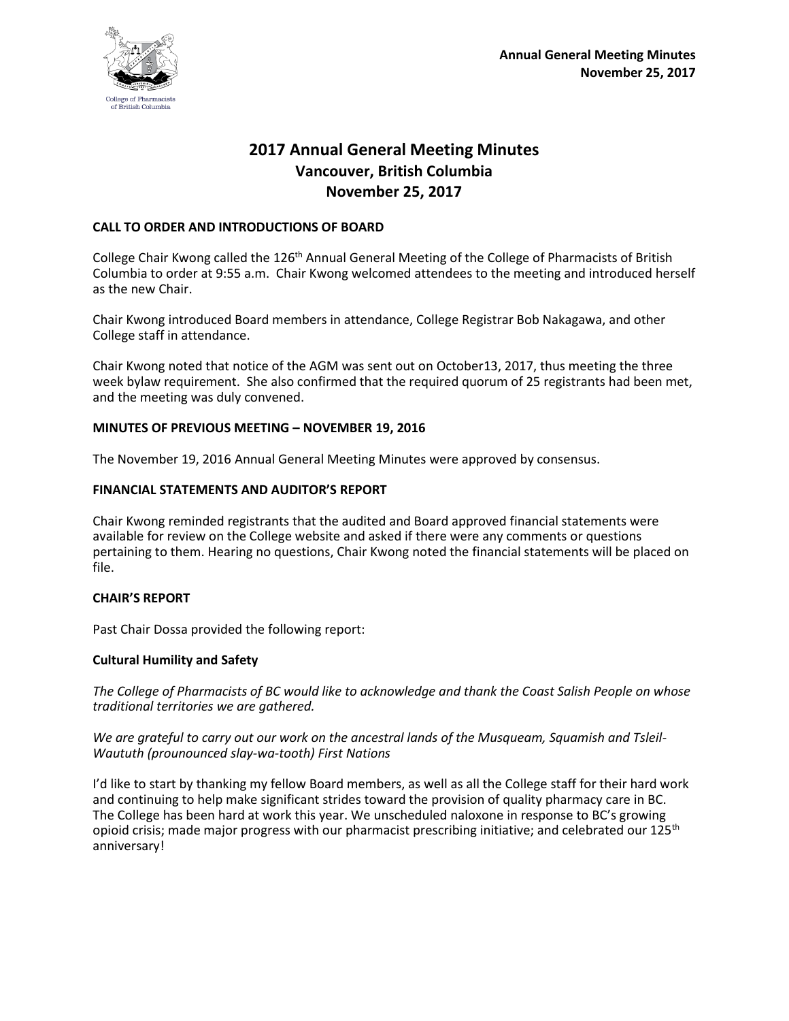

# **2017 Annual General Meeting Minutes Vancouver, British Columbia November 25, 2017**

## **CALL TO ORDER AND INTRODUCTIONS OF BOARD**

College Chair Kwong called the 126<sup>th</sup> Annual General Meeting of the College of Pharmacists of British Columbia to order at 9:55 a.m. Chair Kwong welcomed attendees to the meeting and introduced herself as the new Chair.

Chair Kwong introduced Board members in attendance, College Registrar Bob Nakagawa, and other College staff in attendance.

Chair Kwong noted that notice of the AGM was sent out on October13, 2017, thus meeting the three week bylaw requirement. She also confirmed that the required quorum of 25 registrants had been met, and the meeting was duly convened.

## **MINUTES OF PREVIOUS MEETING – NOVEMBER 19, 2016**

The November 19, 2016 Annual General Meeting Minutes were approved by consensus.

#### **FINANCIAL STATEMENTS AND AUDITOR'S REPORT**

Chair Kwong reminded registrants that the audited and Board approved financial statements were available for review on the College website and asked if there were any comments or questions pertaining to them. Hearing no questions, Chair Kwong noted the financial statements will be placed on file.

## **CHAIR'S REPORT**

Past Chair Dossa provided the following report:

## **Cultural Humility and Safety**

*The College of Pharmacists of BC would like to acknowledge and thank the Coast Salish People on whose traditional territories we are gathered.* 

*We are grateful to carry out our work on the ancestral lands of the Musqueam, Squamish and Tsleil-Waututh (prounounced slay-wa-tooth) First Nations*

I'd like to start by thanking my fellow Board members, as well as all the College staff for their hard work and continuing to help make significant strides toward the provision of quality pharmacy care in BC. The College has been hard at work this year. We unscheduled naloxone in response to BC's growing opioid crisis; made major progress with our pharmacist prescribing initiative; and celebrated our 125<sup>th</sup> anniversary!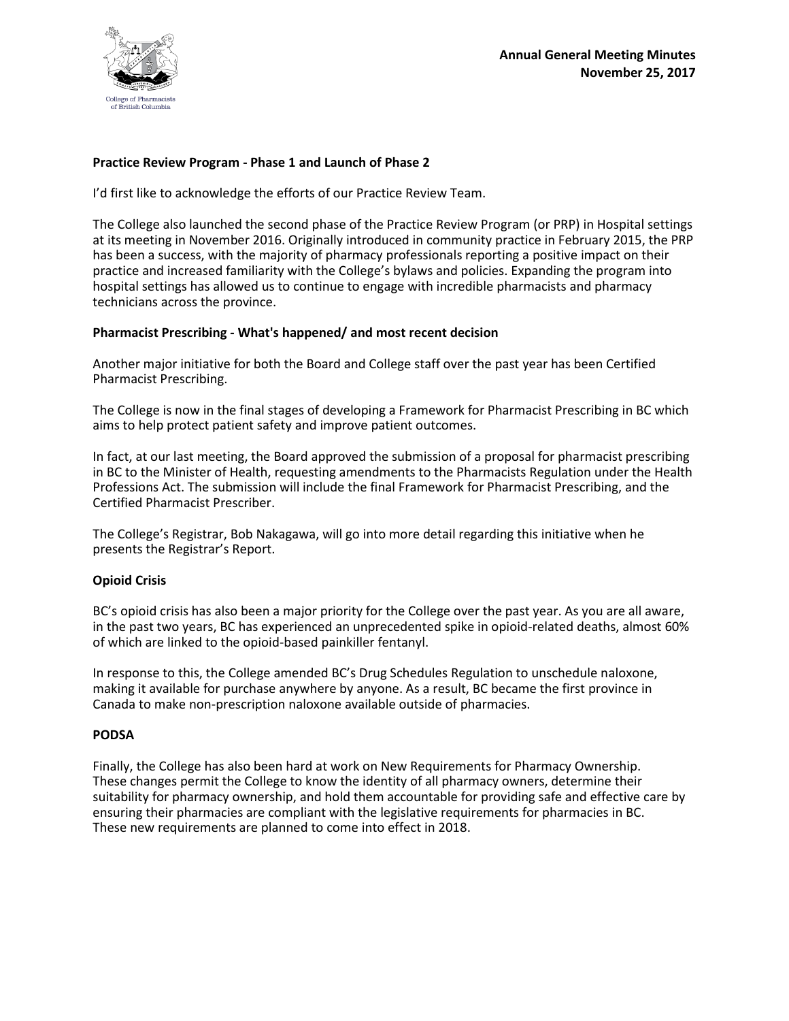

## **Practice Review Program - Phase 1 and Launch of Phase 2**

I'd first like to acknowledge the efforts of our Practice Review Team.

The College also launched the second phase of the Practice Review Program (or PRP) in Hospital settings at its meeting in November 2016. Originally introduced in community practice in February 2015, the PRP has been a success, with the majority of pharmacy professionals reporting a positive impact on their practice and increased familiarity with the College's bylaws and policies. Expanding the program into hospital settings has allowed us to continue to engage with incredible pharmacists and pharmacy technicians across the province.

#### **Pharmacist Prescribing - What's happened/ and most recent decision**

Another major initiative for both the Board and College staff over the past year has been Certified Pharmacist Prescribing.

The College is now in the final stages of developing a Framework for Pharmacist Prescribing in BC which aims to help protect patient safety and improve patient outcomes.

In fact, at our last meeting, the Board approved the submission of a proposal for pharmacist prescribing in BC to the Minister of Health, requesting amendments to the Pharmacists Regulation under the Health Professions Act. The submission will include the final Framework for Pharmacist Prescribing, and the Certified Pharmacist Prescriber.

The College's Registrar, Bob Nakagawa, will go into more detail regarding this initiative when he presents the Registrar's Report.

#### **Opioid Crisis**

BC's opioid crisis has also been a major priority for the College over the past year. As you are all aware, in the past two years, BC has experienced an unprecedented spike in opioid-related deaths, almost 60% of which are linked to the opioid-based painkiller fentanyl.

In response to this, the College amended BC's Drug Schedules Regulation to unschedule naloxone, making it available for purchase anywhere by anyone. As a result, BC became the first province in Canada to make non-prescription naloxone available outside of pharmacies.

#### **PODSA**

Finally, the College has also been hard at work on New Requirements for Pharmacy Ownership. These changes permit the College to know the identity of all pharmacy owners, determine their suitability for pharmacy ownership, and hold them accountable for providing safe and effective care by ensuring their pharmacies are compliant with the legislative requirements for pharmacies in BC. These new requirements are planned to come into effect in 2018.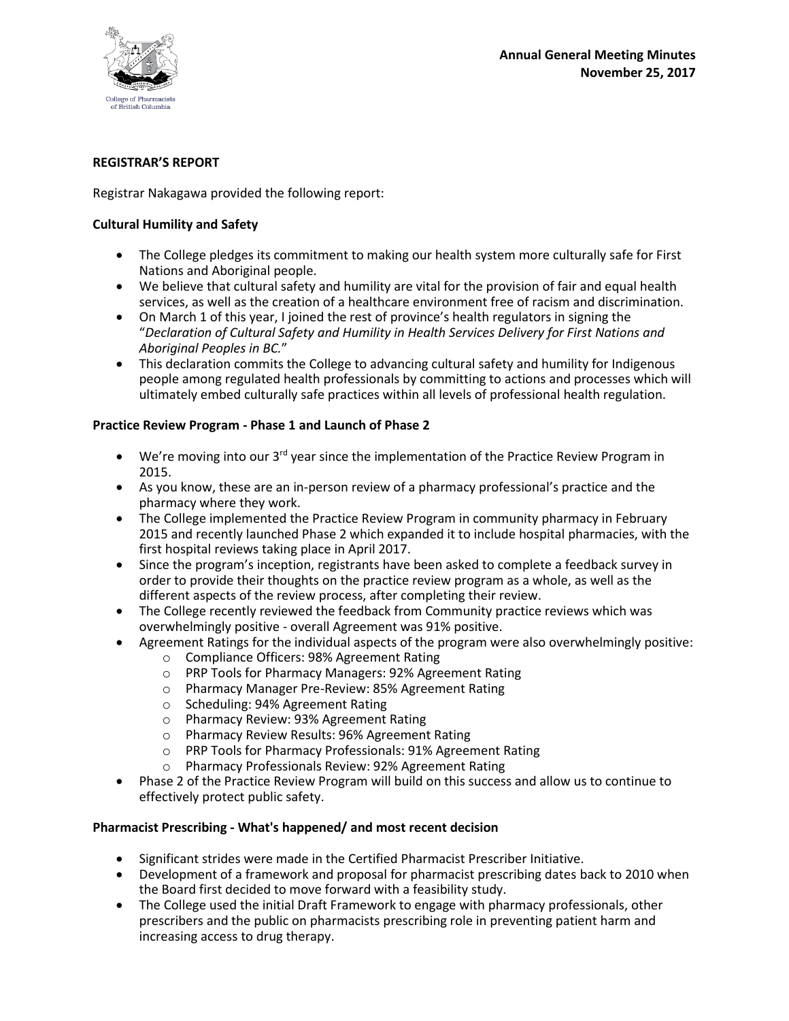

## **REGISTRAR'S REPORT**

## Registrar Nakagawa provided the following report:

## **Cultural Humility and Safety**

- The College pledges its commitment to making our health system more culturally safe for First Nations and Aboriginal people.
- We believe that cultural safety and humility are vital for the provision of fair and equal health services, as well as the creation of a healthcare environment free of racism and discrimination.
- On March 1 of this year, I joined the rest of province's health regulators in signing the "*Declaration of Cultural Safety and Humility in Health Services Delivery for First Nations and Aboriginal Peoples in BC.*"
- This declaration commits the College to advancing cultural safety and humility for Indigenous people among regulated health professionals by committing to actions and processes which will ultimately embed culturally safe practices within all levels of professional health regulation.

## **Practice Review Program - Phase 1 and Launch of Phase 2**

- $\bullet$  We're moving into our 3<sup>rd</sup> year since the implementation of the Practice Review Program in 2015.
- As you know, these are an in-person review of a pharmacy professional's practice and the pharmacy where they work.
- The College implemented the Practice Review Program in community pharmacy in February 2015 and recently launched Phase 2 which expanded it to include hospital pharmacies, with the first hospital reviews taking place in April 2017.
- Since the program's inception, registrants have been asked to complete a feedback survey in order to provide their thoughts on the practice review program as a whole, as well as the different aspects of the review process, after completing their review.
- The College recently reviewed the feedback from Community practice reviews which was overwhelmingly positive - overall Agreement was 91% positive.
- Agreement Ratings for the individual aspects of the program were also overwhelmingly positive:
	- o Compliance Officers: 98% Agreement Rating
	- o PRP Tools for Pharmacy Managers: 92% Agreement Rating
	- o Pharmacy Manager Pre-Review: 85% Agreement Rating
	- o Scheduling: 94% Agreement Rating
	- o Pharmacy Review: 93% Agreement Rating
	- o Pharmacy Review Results: 96% Agreement Rating
	- o PRP Tools for Pharmacy Professionals: 91% Agreement Rating
	- o Pharmacy Professionals Review: 92% Agreement Rating
- Phase 2 of the Practice Review Program will build on this success and allow us to continue to effectively protect public safety.

## **Pharmacist Prescribing - What's happened/ and most recent decision**

- Significant strides were made in the Certified Pharmacist Prescriber Initiative.
- Development of a framework and proposal for pharmacist prescribing dates back to 2010 when the Board first decided to move forward with a feasibility study.
- The College used the initial Draft Framework to engage with pharmacy professionals, other prescribers and the public on pharmacists prescribing role in preventing patient harm and increasing access to drug therapy.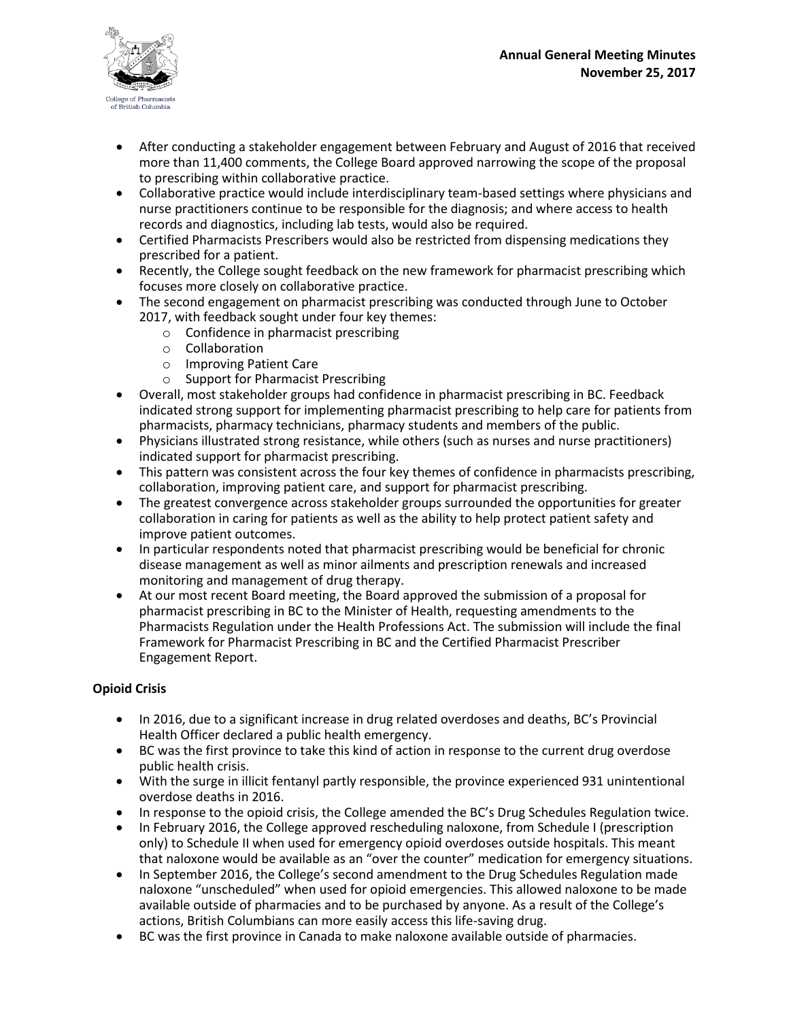

- After conducting a stakeholder engagement between February and August of 2016 that received more than 11,400 comments, the College Board approved narrowing the scope of the proposal to prescribing within collaborative practice.
- Collaborative practice would include interdisciplinary team-based settings where physicians and nurse practitioners continue to be responsible for the diagnosis; and where access to health records and diagnostics, including lab tests, would also be required.
- Certified Pharmacists Prescribers would also be restricted from dispensing medications they prescribed for a patient.
- Recently, the College sought feedback on the new framework for pharmacist prescribing which focuses more closely on collaborative practice.
- The second engagement on pharmacist prescribing was conducted through June to October 2017, with feedback sought under four key themes:
	- o Confidence in pharmacist prescribing
	- o Collaboration
	- o Improving Patient Care
	- o Support for Pharmacist Prescribing
- Overall, most stakeholder groups had confidence in pharmacist prescribing in BC. Feedback indicated strong support for implementing pharmacist prescribing to help care for patients from pharmacists, pharmacy technicians, pharmacy students and members of the public.
- Physicians illustrated strong resistance, while others (such as nurses and nurse practitioners) indicated support for pharmacist prescribing.
- This pattern was consistent across the four key themes of confidence in pharmacists prescribing, collaboration, improving patient care, and support for pharmacist prescribing.
- The greatest convergence across stakeholder groups surrounded the opportunities for greater collaboration in caring for patients as well as the ability to help protect patient safety and improve patient outcomes.
- In particular respondents noted that pharmacist prescribing would be beneficial for chronic disease management as well as minor ailments and prescription renewals and increased monitoring and management of drug therapy.
- At our most recent Board meeting, the Board approved the submission of a proposal for pharmacist prescribing in BC to the Minister of Health, requesting amendments to the Pharmacists Regulation under the Health Professions Act. The submission will include the final Framework for Pharmacist Prescribing in BC and the Certified Pharmacist Prescriber Engagement Report.

# **Opioid Crisis**

- In 2016, due to a significant increase in drug related overdoses and deaths, BC's Provincial Health Officer declared a public health emergency.
- BC was the first province to take this kind of action in response to the current drug overdose public health crisis.
- With the surge in illicit fentanyl partly responsible, the province experienced 931 unintentional overdose deaths in 2016.
- In response to the opioid crisis, the College amended the BC's Drug Schedules Regulation twice.
- In February 2016, the College approved rescheduling naloxone, from Schedule I (prescription only) to Schedule II when used for emergency opioid overdoses outside hospitals. This meant that naloxone would be available as an "over the counter" medication for emergency situations.
- In September 2016, the College's second amendment to the Drug Schedules Regulation made naloxone "unscheduled" when used for opioid emergencies. This allowed naloxone to be made available outside of pharmacies and to be purchased by anyone. As a result of the College's actions, British Columbians can more easily access this life-saving drug.
- BC was the first province in Canada to make naloxone available outside of pharmacies.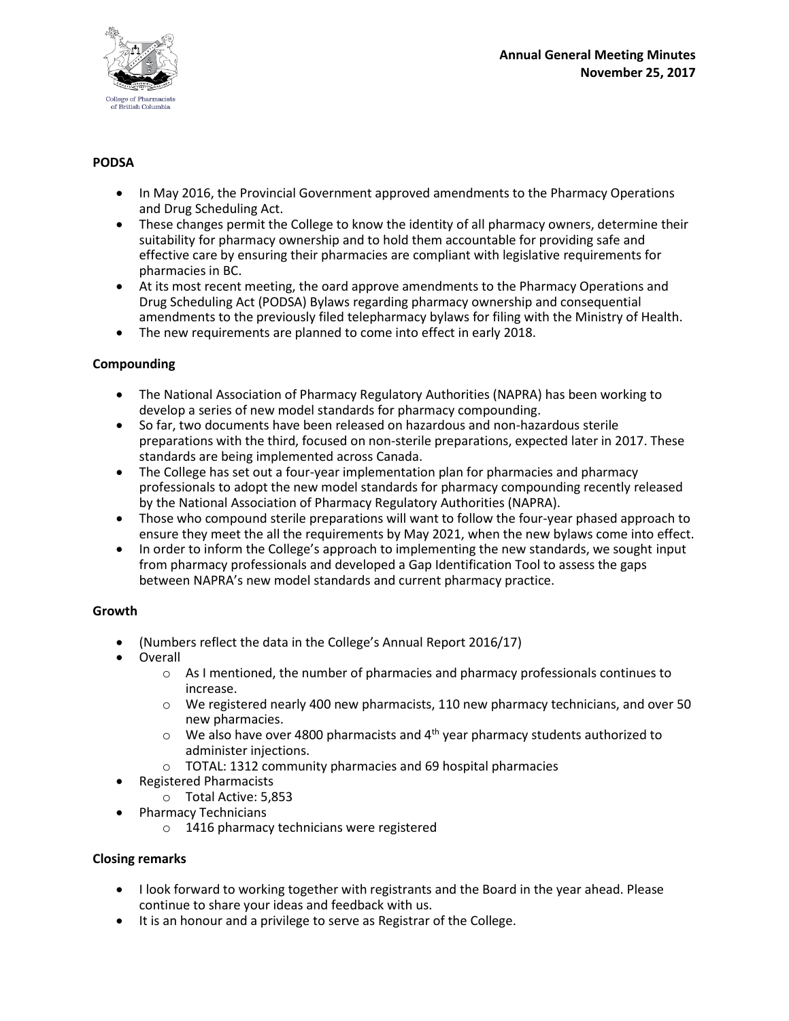

# **PODSA**

- In May 2016, the Provincial Government approved amendments to the Pharmacy Operations and Drug Scheduling Act.
- These changes permit the College to know the identity of all pharmacy owners, determine their suitability for pharmacy ownership and to hold them accountable for providing safe and effective care by ensuring their pharmacies are compliant with legislative requirements for pharmacies in BC.
- At its most recent meeting, the oard approve amendments to the Pharmacy Operations and Drug Scheduling Act (PODSA) Bylaws regarding pharmacy ownership and consequential amendments to the previously filed telepharmacy bylaws for filing with the Ministry of Health.
- The new requirements are planned to come into effect in early 2018.

## **Compounding**

- The National Association of Pharmacy Regulatory Authorities (NAPRA) has been working to develop a series of new model standards for pharmacy compounding.
- So far, two documents have been released on hazardous and non-hazardous sterile preparations with the third, focused on non-sterile preparations, expected later in 2017. These standards are being implemented across Canada.
- The College has set out a four-year implementation plan for pharmacies and pharmacy professionals to adopt the new model standards for pharmacy compounding recently released by the National Association of Pharmacy Regulatory Authorities (NAPRA).
- Those who compound sterile preparations will want to follow the four-year phased approach to ensure they meet the all the requirements by May 2021, when the new bylaws come into effect.
- In order to inform the College's approach to implementing the new standards, we sought input from pharmacy professionals and developed a Gap Identification Tool to assess the gaps between NAPRA's new model standards and current pharmacy practice.

## **Growth**

- (Numbers reflect the data in the College's Annual Report 2016/17)
- Overall
	- $\circ$  As I mentioned, the number of pharmacies and pharmacy professionals continues to increase.
	- $\circ$  We registered nearly 400 new pharmacists, 110 new pharmacy technicians, and over 50 new pharmacies.
	- $\circ$  We also have over 4800 pharmacists and 4<sup>th</sup> year pharmacy students authorized to administer injections.
	- o TOTAL: 1312 community pharmacies and 69 hospital pharmacies
- Registered Pharmacists
	- o Total Active: 5,853
- Pharmacy Technicians
	- o 1416 pharmacy technicians were registered

# **Closing remarks**

- I look forward to working together with registrants and the Board in the year ahead. Please continue to share your ideas and feedback with us.
- It is an honour and a privilege to serve as Registrar of the College.